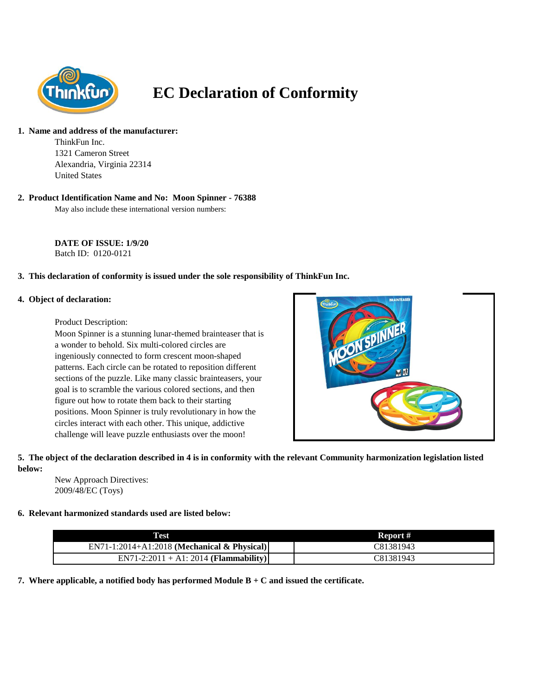

# **EC Declaration of Conformity**

#### **1. Name and address of the manufacturer:**

ThinkFun Inc. 1321 Cameron Street Alexandria, Virginia 22314 United States

#### **2. Product Identification Name and No: Moon Spinner - 76388**

May also include these international version numbers:

**DATE OF ISSUE: 1/9/20** Batch ID: 0120-0121

## **3. This declaration of conformity is issued under the sole responsibility of ThinkFun Inc.**

#### **4. Object of declaration:**

Product Description:

Moon Spinner is a stunning lunar-themed brainteaser that is a wonder to behold. Six multi-colored circles are ingeniously connected to form crescent moon-shaped patterns. Each circle can be rotated to reposition different sections of the puzzle. Like many classic brainteasers, your goal is to scramble the various colored sections, and then figure out how to rotate them back to their starting positions. Moon Spinner is truly revolutionary in how the circles interact with each other. This unique, addictive challenge will leave puzzle enthusiasts over the moon!



#### **5. The object of the declaration described in 4 is in conformity with the relevant Community harmonization legislation listed below:**

New Approach Directives: 2009/48/EC (Toys)

### **6. Relevant harmonized standards used are listed below:**

| <b>Test</b>                                   | Report #  |
|-----------------------------------------------|-----------|
| $EN71-1:2014+A1:2018$ (Mechanical & Physical) | C81381943 |
| $EN71-2:2011 + A1:2014 (Flammaibility)$       | C81381943 |

**7. Where applicable, a notified body has performed Module B + C and issued the certificate.**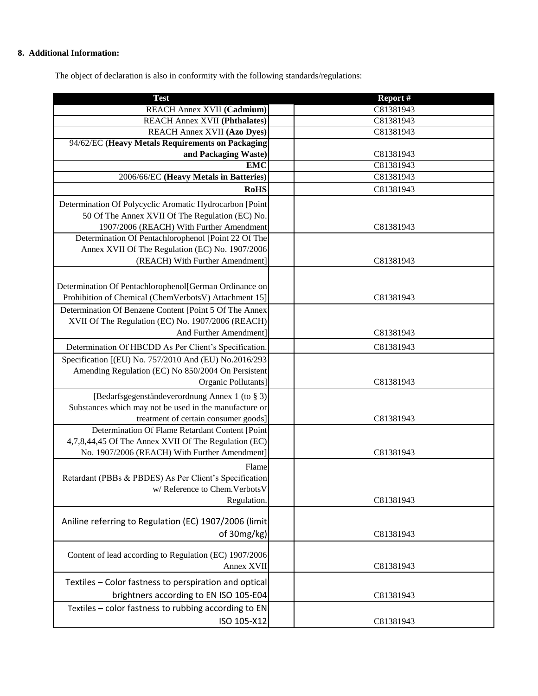## **8. Additional Information:**

The object of declaration is also in conformity with the following standards/regulations:

| <b>Test</b>                                             | Report#   |
|---------------------------------------------------------|-----------|
| REACH Annex XVII (Cadmium)                              | C81381943 |
| <b>REACH Annex XVII (Phthalates)</b>                    | C81381943 |
| <b>REACH Annex XVII (Azo Dyes)</b>                      | C81381943 |
| 94/62/EC (Heavy Metals Requirements on Packaging        |           |
| and Packaging Waste)                                    | C81381943 |
| <b>EMC</b>                                              | C81381943 |
| 2006/66/EC (Heavy Metals in Batteries)                  | C81381943 |
| <b>RoHS</b>                                             | C81381943 |
| Determination Of Polycyclic Aromatic Hydrocarbon [Point |           |
| 50 Of The Annex XVII Of The Regulation (EC) No.         |           |
| 1907/2006 (REACH) With Further Amendment                | C81381943 |
| Determination Of Pentachlorophenol [Point 22 Of The     |           |
| Annex XVII Of The Regulation (EC) No. 1907/2006         |           |
| (REACH) With Further Amendment]                         | C81381943 |
|                                                         |           |
| Determination Of Pentachlorophenol[German Ordinance on  |           |
| Prohibition of Chemical (ChemVerbotsV) Attachment 15]   | C81381943 |
| Determination Of Benzene Content [Point 5 Of The Annex  |           |
| XVII Of The Regulation (EC) No. 1907/2006 (REACH)       |           |
| And Further Amendment]                                  | C81381943 |
| Determination Of HBCDD As Per Client's Specification.   | C81381943 |
| Specification [(EU) No. 757/2010 And (EU) No.2016/293   |           |
| Amending Regulation (EC) No 850/2004 On Persistent      |           |
| Organic Pollutants]                                     | C81381943 |
| [Bedarfsgegenständeverordnung Annex 1 (to § 3)]         |           |
| Substances which may not be used in the manufacture or  |           |
| treatment of certain consumer goods]                    | C81381943 |
| Determination Of Flame Retardant Content [Point         |           |
| 4,7,8,44,45 Of The Annex XVII Of The Regulation (EC)    |           |
| No. 1907/2006 (REACH) With Further Amendment]           | C81381943 |
| Flame                                                   |           |
| Retardant (PBBs & PBDES) As Per Client's Specification  |           |
| w/ Reference to Chem. Verbots V                         |           |
| Regulation.                                             | C81381943 |
|                                                         |           |
| Aniline referring to Regulation (EC) 1907/2006 (limit   |           |
| of 30mg/kg)                                             | C81381943 |
| Content of lead according to Regulation (EC) 1907/2006  |           |
| Annex XVII                                              | C81381943 |
|                                                         |           |
| Textiles - Color fastness to perspiration and optical   |           |
| brightners according to EN ISO 105-E04                  | C81381943 |
| Textiles - color fastness to rubbing according to EN    |           |
| ISO 105-X12                                             | C81381943 |